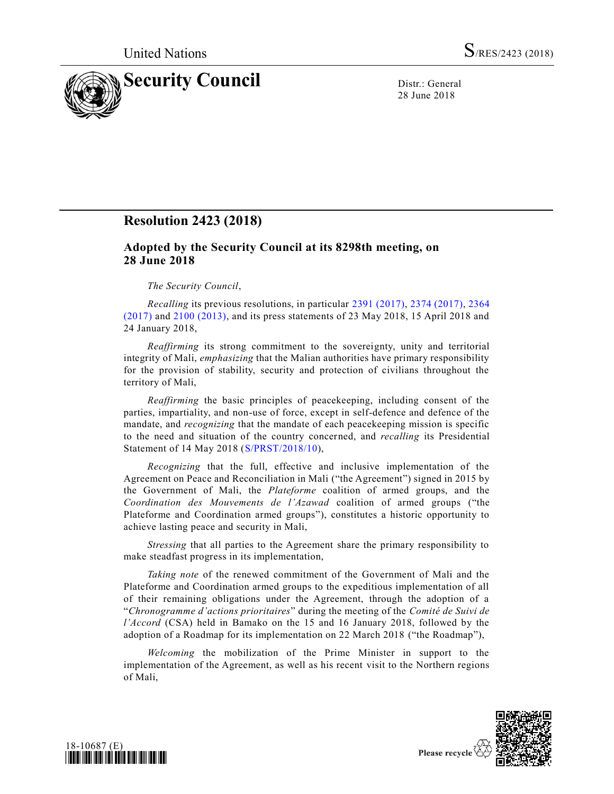

28 June 2018

# **Resolution 2423 (2018)**

## **Adopted by the Security Council at its 8298th meeting, on 28 June 2018**

## *The Security Council*,

*Recalling* its previous resolutions, in particular [2391 \(2017\),](https://undocs.org/S/RES/2391(2017)) [2374 \(2017\),](https://undocs.org/S/RES/2374(2017)) [2364](https://undocs.org/S/RES/2364(2017))  [\(2017\)](https://undocs.org/S/RES/2364(2017)) and [2100 \(2013\),](https://undocs.org/S/RES/2100(2013)) and its press statements of 23 May 2018, 15 April 2018 and 24 January 2018,

*Reaffirming* its strong commitment to the sovereignty, unity and territorial integrity of Mali, *emphasizing* that the Malian authorities have primary responsibility for the provision of stability, security and protection of civilians throughout the territory of Mali,

*Reaffirming* the basic principles of peacekeeping, including consent of the parties, impartiality, and non-use of force, except in self-defence and defence of the mandate, and *recognizing* that the mandate of each peacekeeping mission is specific to the need and situation of the country concerned, and *recalling* its Presidential Statement of 14 May 2018 [\(S/PRST/2018/10\)](https://undocs.org/S/PRST/2018/10),

*Recognizing* that the full, effective and inclusive implementation of the Agreement on Peace and Reconciliation in Mali ("the Agreement") signed in 2015 by the Government of Mali, the *Plateforme* coalition of armed groups, and the *Coordination des Mouvements de l'Azawad* coalition of armed groups ("the Plateforme and Coordination armed groups"), constitutes a historic opportunity to achieve lasting peace and security in Mali,

*Stressing* that all parties to the Agreement share the primary responsibility to make steadfast progress in its implementation,

*Taking note* of the renewed commitment of the Government of Mali and the Plateforme and Coordination armed groups to the expeditious implementation of all of their remaining obligations under the Agreement, through the adoption of a "*Chronogramme d'actions prioritaires*" during the meeting of the *Comité de Suivi de l'Accord* (CSA) held in Bamako on the 15 and 16 January 2018, followed by the adoption of a Roadmap for its implementation on 22 March 2018 ("the Roadmap"),

*Welcoming* the mobilization of the Prime Minister in support to the implementation of the Agreement, as well as his recent visit to the Northern regions of Mali,



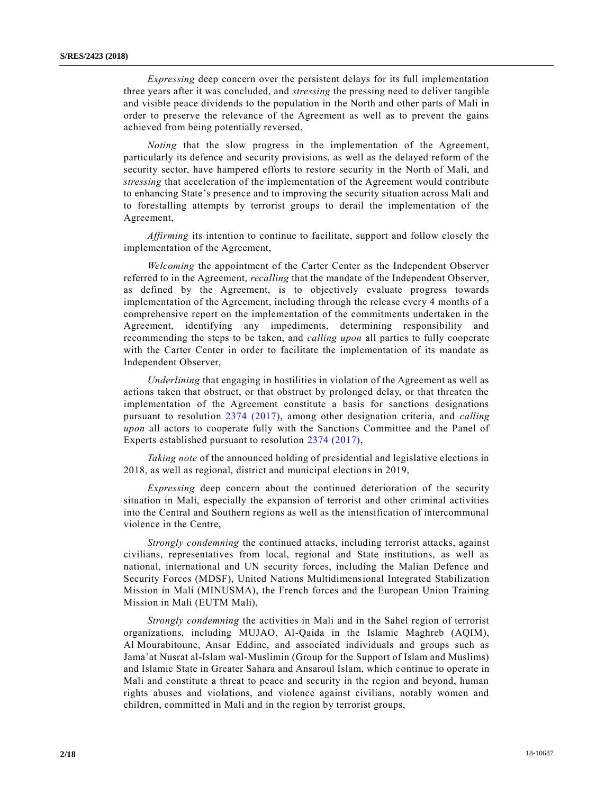*Expressing* deep concern over the persistent delays for its full implementation three years after it was concluded, and *stressing* the pressing need to deliver tangible and visible peace dividends to the population in the North and other parts of Mali in order to preserve the relevance of the Agreement as well as to prevent the gains achieved from being potentially reversed,

*Noting* that the slow progress in the implementation of the Agreement, particularly its defence and security provisions, as well as the delayed reform of the security sector, have hampered efforts to restore security in the North of Mali, and *stressing* that acceleration of the implementation of the Agreement would contribute to enhancing State's presence and to improving the security situation across Mali and to forestalling attempts by terrorist groups to derail the implementation of the Agreement,

*Affirming* its intention to continue to facilitate, support and follow closely the implementation of the Agreement,

*Welcoming* the appointment of the Carter Center as the Independent Observer referred to in the Agreement, *recalling* that the mandate of the Independent Observer, as defined by the Agreement, is to objectively evaluate progress towards implementation of the Agreement, including through the release every 4 months of a comprehensive report on the implementation of the commitments undertaken in the Agreement, identifying any impediments, determining responsibility and recommending the steps to be taken, and *calling upon* all parties to fully cooperate with the Carter Center in order to facilitate the implementation of its mandate as Independent Observer,

*Underlining* that engaging in hostilities in violation of the Agreement as well as actions taken that obstruct, or that obstruct by prolonged delay, or that threaten the implementation of the Agreement constitute a basis for sanctions designations pursuant to resolution [2374 \(2017\),](https://undocs.org/S/RES/2374(2017)) among other designation criteria, and *calling upon* all actors to cooperate fully with the Sanctions Committee and the Panel of Experts established pursuant to resolution [2374 \(2017\),](https://undocs.org/S/RES/2374(2017))

*Taking note* of the announced holding of presidential and legislative elections in 2018, as well as regional, district and municipal elections in 2019,

*Expressing* deep concern about the continued deterioration of the security situation in Mali, especially the expansion of terrorist and other criminal activities into the Central and Southern regions as well as the intensification of intercommunal violence in the Centre,

*Strongly condemning* the continued attacks, including terrorist attacks, against civilians, representatives from local, regional and State institutions, as well as national, international and UN security forces, including the Malian Defence and Security Forces (MDSF), United Nations Multidimensional Integrated Stabilization Mission in Mali (MINUSMA), the French forces and the European Union Training Mission in Mali (EUTM Mali),

*Strongly condemning* the activities in Mali and in the Sahel region of terrorist organizations, including MUJAO, Al-Qaida in the Islamic Maghreb (AQIM), Al Mourabitoune, Ansar Eddine, and associated individuals and groups such as Jama'at Nusrat al-Islam wal-Muslimin (Group for the Support of Islam and Muslims) and Islamic State in Greater Sahara and Ansaroul Islam, which continue to operate in Mali and constitute a threat to peace and security in the region and beyond, human rights abuses and violations, and violence against civilians, notably women and children, committed in Mali and in the region by terrorist groups,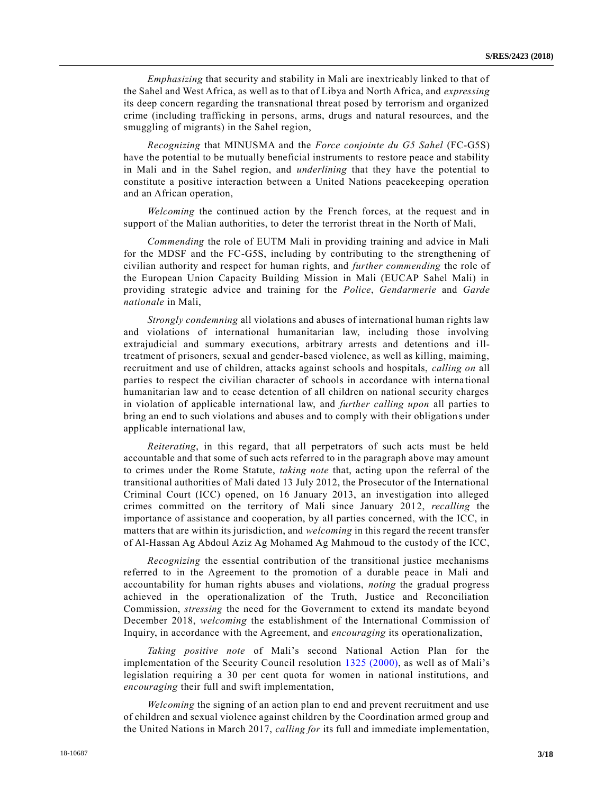*Emphasizing* that security and stability in Mali are inextricably linked to that of the Sahel and West Africa, as well as to that of Libya and North Africa, and *expressing* its deep concern regarding the transnational threat posed by terrorism and organized crime (including trafficking in persons, arms, drugs and natural resources, and the smuggling of migrants) in the Sahel region,

*Recognizing* that MINUSMA and the *Force conjointe du G5 Sahel* (FC-G5S) have the potential to be mutually beneficial instruments to restore peace and stability in Mali and in the Sahel region, and *underlining* that they have the potential to constitute a positive interaction between a United Nations peacekeeping operation and an African operation,

*Welcoming* the continued action by the French forces, at the request and in support of the Malian authorities, to deter the terrorist threat in the North of Mali,

*Commending* the role of EUTM Mali in providing training and advice in Mali for the MDSF and the FC-G5S, including by contributing to the strengthening of civilian authority and respect for human rights, and *further commending* the role of the European Union Capacity Building Mission in Mali (EUCAP Sahel Mali) in providing strategic advice and training for the *Police*, *Gendarmerie* and *Garde nationale* in Mali,

*Strongly condemning* all violations and abuses of international human rights law and violations of international humanitarian law, including those involving extrajudicial and summary executions, arbitrary arrests and detentions and illtreatment of prisoners, sexual and gender-based violence, as well as killing, maiming, recruitment and use of children, attacks against schools and hospitals, *calling on* all parties to respect the civilian character of schools in accordance with interna tional humanitarian law and to cease detention of all children on national security charges in violation of applicable international law, and *further calling upon* all parties to bring an end to such violations and abuses and to comply with their obligations under applicable international law,

*Reiterating*, in this regard, that all perpetrators of such acts must be held accountable and that some of such acts referred to in the paragraph above may amount to crimes under the Rome Statute, *taking note* that, acting upon the referral of the transitional authorities of Mali dated 13 July 2012, the Prosecutor of the International Criminal Court (ICC) opened, on 16 January 2013, an investigation into alleged crimes committed on the territory of Mali since January 2012, *recalling* the importance of assistance and cooperation, by all parties concerned, with the ICC, in matters that are within its jurisdiction, and *welcoming* in this regard the recent transfer of Al-Hassan Ag Abdoul Aziz Ag Mohamed Ag Mahmoud to the custody of the ICC,

*Recognizing* the essential contribution of the transitional justice mechanisms referred to in the Agreement to the promotion of a durable peace in Mali and accountability for human rights abuses and violations, *noting* the gradual progress achieved in the operationalization of the Truth, Justice and Reconciliation Commission, *stressing* the need for the Government to extend its mandate beyond December 2018, *welcoming* the establishment of the International Commission of Inquiry, in accordance with the Agreement, and *encouraging* its operationalization,

*Taking positive note* of Mali's second National Action Plan for the implementation of the Security Council resolution [1325 \(2000\),](https://undocs.org/S/RES/1325(2000)) as well as of Mali's legislation requiring a 30 per cent quota for women in national institutions, and *encouraging* their full and swift implementation,

*Welcoming* the signing of an action plan to end and prevent recruitment and use of children and sexual violence against children by the Coordination armed group and the United Nations in March 2017, *calling for* its full and immediate implementation,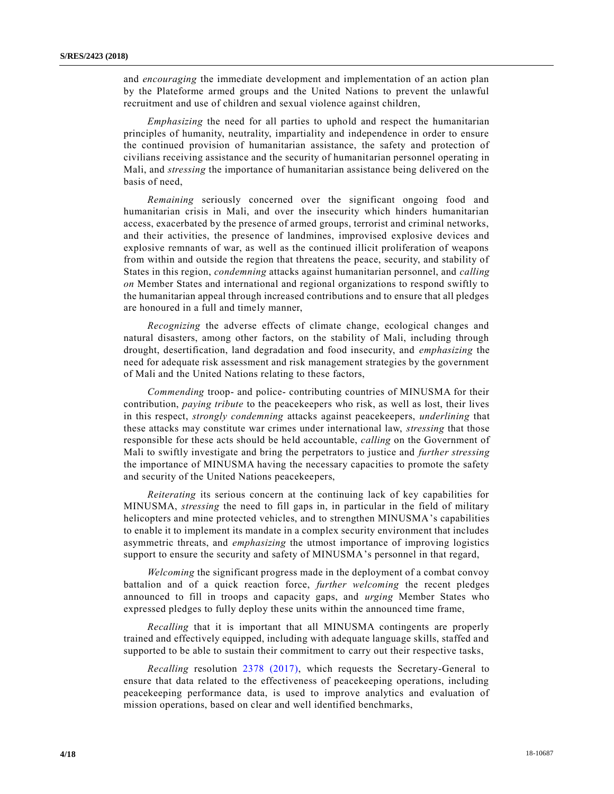and *encouraging* the immediate development and implementation of an action plan by the Plateforme armed groups and the United Nations to prevent the unlawful recruitment and use of children and sexual violence against children,

*Emphasizing* the need for all parties to uphold and respect the humanitarian principles of humanity, neutrality, impartiality and independence in order to ensure the continued provision of humanitarian assistance, the safety and protection of civilians receiving assistance and the security of humanitarian personnel operating in Mali, and *stressing* the importance of humanitarian assistance being delivered on the basis of need,

*Remaining* seriously concerned over the significant ongoing food and humanitarian crisis in Mali, and over the insecurity which hinders humanitarian access, exacerbated by the presence of armed groups, terrorist and criminal networks, and their activities, the presence of landmines, improvised explosive devices and explosive remnants of war, as well as the continued illicit proliferation of weapons from within and outside the region that threatens the peace, security, and stability of States in this region, *condemning* attacks against humanitarian personnel, and *calling on* Member States and international and regional organizations to respond swiftly to the humanitarian appeal through increased contributions and to ensure that all pledges are honoured in a full and timely manner,

*Recognizing* the adverse effects of climate change, ecological changes and natural disasters, among other factors, on the stability of Mali, including through drought, desertification, land degradation and food insecurity, and *emphasizing* the need for adequate risk assessment and risk management strategies by the government of Mali and the United Nations relating to these factors,

*Commending* troop- and police- contributing countries of MINUSMA for their contribution, *paying tribute* to the peacekeepers who risk, as well as lost, their lives in this respect, *strongly condemning* attacks against peacekeepers, *underlining* that these attacks may constitute war crimes under international law, *stressing* that those responsible for these acts should be held accountable, *calling* on the Government of Mali to swiftly investigate and bring the perpetrators to justice and *further stressing* the importance of MINUSMA having the necessary capacities to promote the safety and security of the United Nations peacekeepers,

*Reiterating* its serious concern at the continuing lack of key capabilities for MINUSMA, *stressing* the need to fill gaps in, in particular in the field of military helicopters and mine protected vehicles, and to strengthen MINUSMA's capabilities to enable it to implement its mandate in a complex security environment that includes asymmetric threats, and *emphasizing* the utmost importance of improving logistics support to ensure the security and safety of MINUSMA's personnel in that regard,

*Welcoming* the significant progress made in the deployment of a combat convoy battalion and of a quick reaction force, *further welcoming* the recent pledges announced to fill in troops and capacity gaps, and *urging* Member States who expressed pledges to fully deploy these units within the announced time frame,

*Recalling* that it is important that all MINUSMA contingents are properly trained and effectively equipped, including with adequate language skills, staffed and supported to be able to sustain their commitment to carry out their respective tasks,

*Recalling* resolution [2378 \(2017\),](https://undocs.org/S/RES/2378(2017)) which requests the Secretary-General to ensure that data related to the effectiveness of peacekeeping operations, including peacekeeping performance data, is used to improve analytics and evaluation of mission operations, based on clear and well identified benchmarks,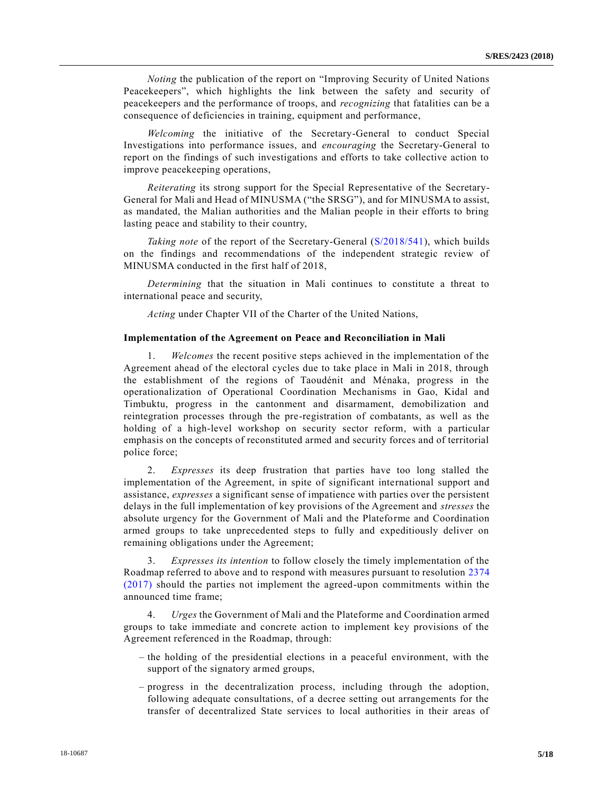*Noting* the publication of the report on "Improving Security of United Nations Peacekeepers", which highlights the link between the safety and security of peacekeepers and the performance of troops, and *recognizing* that fatalities can be a consequence of deficiencies in training, equipment and performance,

*Welcoming* the initiative of the Secretary-General to conduct Special Investigations into performance issues, and *encouraging* the Secretary-General to report on the findings of such investigations and efforts to take collective action to improve peacekeeping operations,

*Reiterating* its strong support for the Special Representative of the Secretary-General for Mali and Head of MINUSMA ("the SRSG"), and for MINUSMA to assist, as mandated, the Malian authorities and the Malian people in their efforts to bring lasting peace and stability to their country,

*Taking note* of the report of the Secretary-General [\(S/2018/541\)](https://undocs.org/E/RES/2018/54), which builds on the findings and recommendations of the independent strategic review of MINUSMA conducted in the first half of 2018,

*Determining* that the situation in Mali continues to constitute a threat to international peace and security,

*Acting* under Chapter VII of the Charter of the United Nations,

#### **Implementation of the Agreement on Peace and Reconciliation in Mali**

1. *Welcomes* the recent positive steps achieved in the implementation of the Agreement ahead of the electoral cycles due to take place in Mali in 2018, through the establishment of the regions of Taoudénit and Ménaka, progress in the operationalization of Operational Coordination Mechanisms in Gao, Kidal and Timbuktu, progress in the cantonment and disarmament, demobilization and reintegration processes through the pre-registration of combatants, as well as the holding of a high-level workshop on security sector reform, with a particular emphasis on the concepts of reconstituted armed and security forces and of territorial police force;

2. *Expresses* its deep frustration that parties have too long stalled the implementation of the Agreement, in spite of significant international support and assistance, *expresses* a significant sense of impatience with parties over the persistent delays in the full implementation of key provisions of the Agreement and *stresses* the absolute urgency for the Government of Mali and the Plateforme and Coordination armed groups to take unprecedented steps to fully and expeditiously deliver on remaining obligations under the Agreement;

3. *Expresses its intention* to follow closely the timely implementation of the Roadmap referred to above and to respond with measures pursuant to resolution [2374](https://undocs.org/S/RES/2374(2017))  [\(2017\)](https://undocs.org/S/RES/2374(2017)) should the parties not implement the agreed-upon commitments within the announced time frame;

4. *Urges* the Government of Mali and the Plateforme and Coordination armed groups to take immediate and concrete action to implement key provisions of the Agreement referenced in the Roadmap, through:

- the holding of the presidential elections in a peaceful environment, with the support of the signatory armed groups,
- progress in the decentralization process, including through the adoption, following adequate consultations, of a decree setting out arrangements for the transfer of decentralized State services to local authorities in their areas of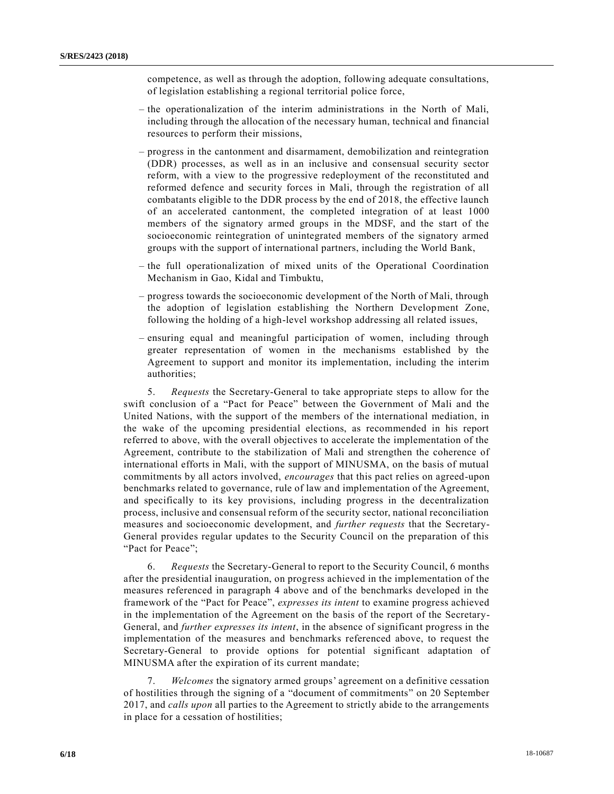competence, as well as through the adoption, following adequate consultations, of legislation establishing a regional territorial police force,

- the operationalization of the interim administrations in the North of Mali, including through the allocation of the necessary human, technical and financial resources to perform their missions,
- progress in the cantonment and disarmament, demobilization and reintegration (DDR) processes, as well as in an inclusive and consensual security sector reform, with a view to the progressive redeployment of the reconstituted and reformed defence and security forces in Mali, through the registration of all combatants eligible to the DDR process by the end of 2018, the effective launch of an accelerated cantonment, the completed integration of at least 1000 members of the signatory armed groups in the MDSF, and the start of the socioeconomic reintegration of unintegrated members of the signatory armed groups with the support of international partners, including the World Bank,
- the full operationalization of mixed units of the Operational Coordination Mechanism in Gao, Kidal and Timbuktu,
- progress towards the socioeconomic development of the North of Mali, through the adoption of legislation establishing the Northern Development Zone, following the holding of a high-level workshop addressing all related issues,
- ensuring equal and meaningful participation of women, including through greater representation of women in the mechanisms established by the Agreement to support and monitor its implementation, including the interim authorities;

5. *Requests* the Secretary-General to take appropriate steps to allow for the swift conclusion of a "Pact for Peace" between the Government of Mali and the United Nations, with the support of the members of the international mediation, in the wake of the upcoming presidential elections, as recommended in his report referred to above, with the overall objectives to accelerate the implementation of the Agreement, contribute to the stabilization of Mali and strengthen the coherence of international efforts in Mali, with the support of MINUSMA, on the basis of mutual commitments by all actors involved, *encourages* that this pact relies on agreed-upon benchmarks related to governance, rule of law and implementation of the Agreement, and specifically to its key provisions, including progress in the decentralization process, inclusive and consensual reform of the security sector, national reconciliation measures and socioeconomic development, and *further requests* that the Secretary-General provides regular updates to the Security Council on the preparation of this "Pact for Peace";

6. *Requests* the Secretary-General to report to the Security Council, 6 months after the presidential inauguration, on progress achieved in the implementation of the measures referenced in paragraph 4 above and of the benchmarks developed in the framework of the "Pact for Peace", *expresses its intent* to examine progress achieved in the implementation of the Agreement on the basis of the report of the Secretary-General, and *further expresses its intent*, in the absence of significant progress in the implementation of the measures and benchmarks referenced above, to request the Secretary-General to provide options for potential significant adaptation of MINUSMA after the expiration of its current mandate;

7. *Welcomes* the signatory armed groups' agreement on a definitive cessation of hostilities through the signing of a "document of commitments" on 20 September 2017, and *calls upon* all parties to the Agreement to strictly abide to the arrangements in place for a cessation of hostilities;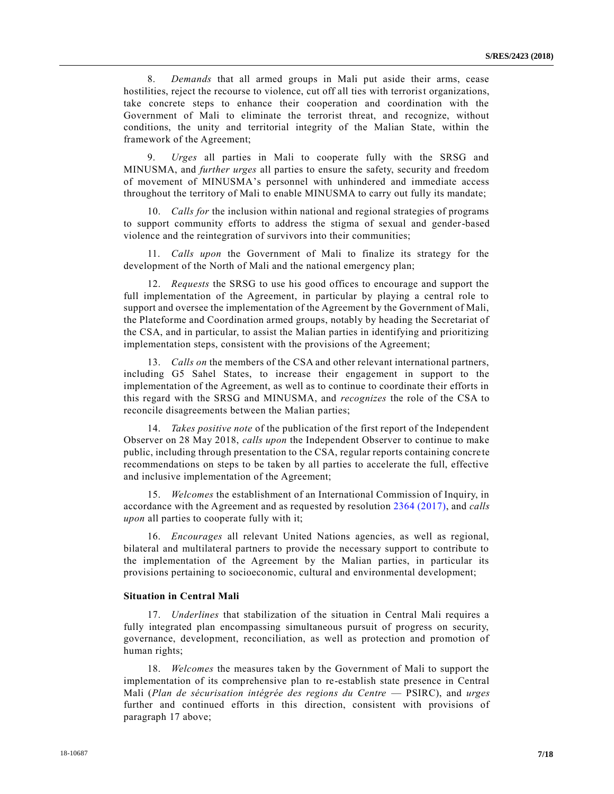8. *Demands* that all armed groups in Mali put aside their arms, cease hostilities, reject the recourse to violence, cut off all ties with terrorist organizations, take concrete steps to enhance their cooperation and coordination with the Government of Mali to eliminate the terrorist threat, and recognize, without conditions, the unity and territorial integrity of the Malian State, within the framework of the Agreement;

9. *Urges* all parties in Mali to cooperate fully with the SRSG and MINUSMA, and *further urges* all parties to ensure the safety, security and freedom of movement of MINUSMA's personnel with unhindered and immediate access throughout the territory of Mali to enable MINUSMA to carry out fully its mandate;

10. *Calls for* the inclusion within national and regional strategies of programs to support community efforts to address the stigma of sexual and gender-based violence and the reintegration of survivors into their communities;

11. *Calls upon* the Government of Mali to finalize its strategy for the development of the North of Mali and the national emergency plan;

12. *Requests* the SRSG to use his good offices to encourage and support the full implementation of the Agreement, in particular by playing a central role to support and oversee the implementation of the Agreement by the Government of Mali, the Plateforme and Coordination armed groups, notably by heading the Secretariat of the CSA, and in particular, to assist the Malian parties in identifying and prioritizing implementation steps, consistent with the provisions of the Agreement;

13. *Calls on* the members of the CSA and other relevant international partners, including G5 Sahel States, to increase their engagement in support to the implementation of the Agreement, as well as to continue to coordinate their efforts in this regard with the SRSG and MINUSMA, and *recognizes* the role of the CSA to reconcile disagreements between the Malian parties;

14. *Takes positive note* of the publication of the first report of the Independent Observer on 28 May 2018, *calls upon* the Independent Observer to continue to make public, including through presentation to the CSA, regular reports containing concre te recommendations on steps to be taken by all parties to accelerate the full, effective and inclusive implementation of the Agreement;

15. *Welcomes* the establishment of an International Commission of Inquiry, in accordance with the Agreement and as requested by resolution [2364 \(2017\),](https://undocs.org/S/RES/2364(2017)) and *calls upon* all parties to cooperate fully with it;

16. *Encourages* all relevant United Nations agencies, as well as regional, bilateral and multilateral partners to provide the necessary support to contribute to the implementation of the Agreement by the Malian parties, in particular its provisions pertaining to socioeconomic, cultural and environmental development;

## **Situation in Central Mali**

17. *Underlines* that stabilization of the situation in Central Mali requires a fully integrated plan encompassing simultaneous pursuit of progress on security, governance, development, reconciliation, as well as protection and promotion of human rights;

18. *Welcomes* the measures taken by the Government of Mali to support the implementation of its comprehensive plan to re-establish state presence in Central Mali (*Plan de sécurisation intégrée des regions du Centre* — PSIRC), and *urges* further and continued efforts in this direction, consistent with provisions of paragraph 17 above;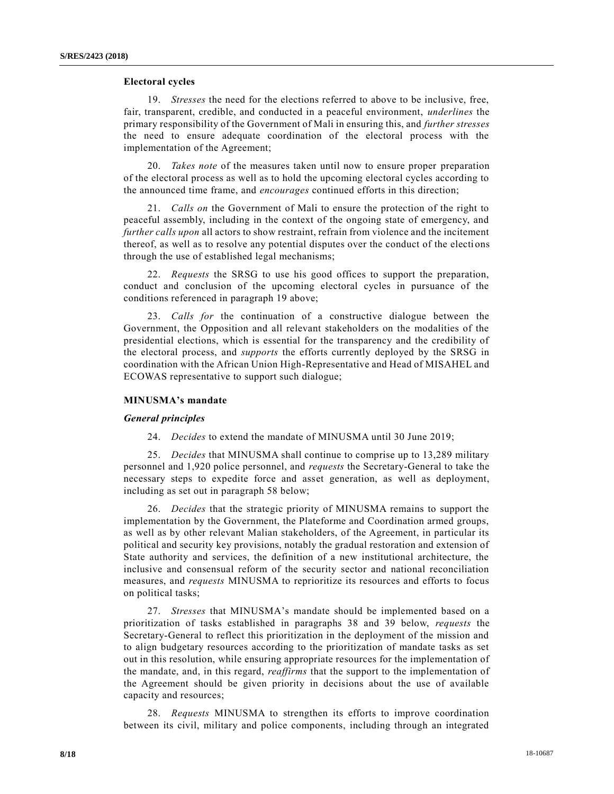## **Electoral cycles**

19. *Stresses* the need for the elections referred to above to be inclusive, free, fair, transparent, credible, and conducted in a peaceful environment, *underlines* the primary responsibility of the Government of Mali in ensuring this, and *further stresses* the need to ensure adequate coordination of the electoral process with the implementation of the Agreement;

20. *Takes note* of the measures taken until now to ensure proper preparation of the electoral process as well as to hold the upcoming electoral cycles according to the announced time frame, and *encourages* continued efforts in this direction;

21. *Calls on* the Government of Mali to ensure the protection of the right to peaceful assembly, including in the context of the ongoing state of emergency, and *further calls upon* all actors to show restraint, refrain from violence and the incitement thereof, as well as to resolve any potential disputes over the conduct of the electi ons through the use of established legal mechanisms;

22. *Requests* the SRSG to use his good offices to support the preparation, conduct and conclusion of the upcoming electoral cycles in pursuance of the conditions referenced in paragraph 19 above;

23. *Calls for* the continuation of a constructive dialogue between the Government, the Opposition and all relevant stakeholders on the modalities of the presidential elections, which is essential for the transparency and the credibility of the electoral process, and *supports* the efforts currently deployed by the SRSG in coordination with the African Union High-Representative and Head of MISAHEL and ECOWAS representative to support such dialogue;

## **MINUSMA's mandate**

#### *General principles*

24. *Decides* to extend the mandate of MINUSMA until 30 June 2019;

25. *Decides* that MINUSMA shall continue to comprise up to 13,289 military personnel and 1,920 police personnel, and *requests* the Secretary-General to take the necessary steps to expedite force and asset generation, as well as deployment, including as set out in paragraph 58 below;

26. *Decides* that the strategic priority of MINUSMA remains to support the implementation by the Government, the Plateforme and Coordination armed groups, as well as by other relevant Malian stakeholders, of the Agreement, in particular its political and security key provisions, notably the gradual restoration and extension of State authority and services, the definition of a new institutional architecture, the inclusive and consensual reform of the security sector and national reconciliation measures, and *requests* MINUSMA to reprioritize its resources and efforts to focus on political tasks;

27. *Stresses* that MINUSMA's mandate should be implemented based on a prioritization of tasks established in paragraphs 38 and 39 below, *requests* the Secretary-General to reflect this prioritization in the deployment of the mission and to align budgetary resources according to the prioritization of mandate tasks as set out in this resolution, while ensuring appropriate resources for the implementation of the mandate, and, in this regard, *reaffirms* that the support to the implementation of the Agreement should be given priority in decisions about the use of available capacity and resources;

28. *Requests* MINUSMA to strengthen its efforts to improve coordination between its civil, military and police components, including through an integrated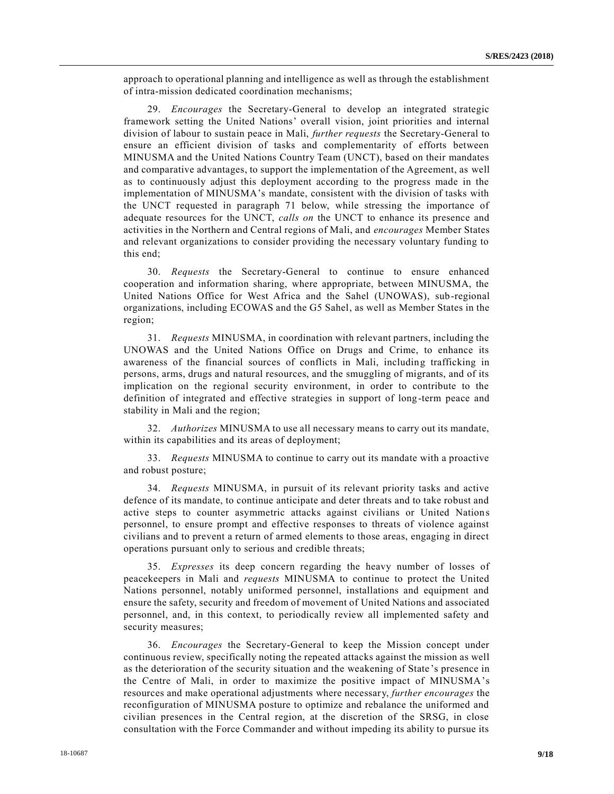approach to operational planning and intelligence as well as through the establishment of intra-mission dedicated coordination mechanisms;

29. *Encourages* the Secretary-General to develop an integrated strategic framework setting the United Nations' overall vision, joint priorities and internal division of labour to sustain peace in Mali, *further requests* the Secretary-General to ensure an efficient division of tasks and complementarity of efforts between MINUSMA and the United Nations Country Team (UNCT), based on their mandates and comparative advantages, to support the implementation of the Agreement, as well as to continuously adjust this deployment according to the progress made in the implementation of MINUSMA's mandate, consistent with the division of tasks with the UNCT requested in paragraph 71 below, while stressing the importance of adequate resources for the UNCT, *calls on* the UNCT to enhance its presence and activities in the Northern and Central regions of Mali, and *encourages* Member States and relevant organizations to consider providing the necessary voluntary funding to this end;

30. *Requests* the Secretary-General to continue to ensure enhanced cooperation and information sharing, where appropriate, between MINUSMA, the United Nations Office for West Africa and the Sahel (UNOWAS), sub-regional organizations, including ECOWAS and the G5 Sahel, as well as Member States in the region;

31. *Requests* MINUSMA, in coordination with relevant partners, including the UNOWAS and the United Nations Office on Drugs and Crime, to enhance its awareness of the financial sources of conflicts in Mali, including trafficking in persons, arms, drugs and natural resources, and the smuggling of migrants, and of its implication on the regional security environment, in order to contribute to the definition of integrated and effective strategies in support of long-term peace and stability in Mali and the region;

32. *Authorizes* MINUSMA to use all necessary means to carry out its mandate, within its capabilities and its areas of deployment;

33. *Requests* MINUSMA to continue to carry out its mandate with a proactive and robust posture;

34. *Requests* MINUSMA, in pursuit of its relevant priority tasks and active defence of its mandate, to continue anticipate and deter threats and to take robust and active steps to counter asymmetric attacks against civilians or United Nations personnel, to ensure prompt and effective responses to threats of violence against civilians and to prevent a return of armed elements to those areas, engaging in direct operations pursuant only to serious and credible threats;

35. *Expresses* its deep concern regarding the heavy number of losses of peacekeepers in Mali and *requests* MINUSMA to continue to protect the United Nations personnel, notably uniformed personnel, installations and equipment and ensure the safety, security and freedom of movement of United Nations and associated personnel, and, in this context, to periodically review all implemented safety and security measures;

36. *Encourages* the Secretary-General to keep the Mission concept under continuous review, specifically noting the repeated attacks against the mission as well as the deterioration of the security situation and the weakening of State 's presence in the Centre of Mali, in order to maximize the positive impact of MINUSMA's resources and make operational adjustments where necessary, *further encourages* the reconfiguration of MINUSMA posture to optimize and rebalance the uniformed and civilian presences in the Central region, at the discretion of the SRSG, in close consultation with the Force Commander and without impeding its ability to pursue its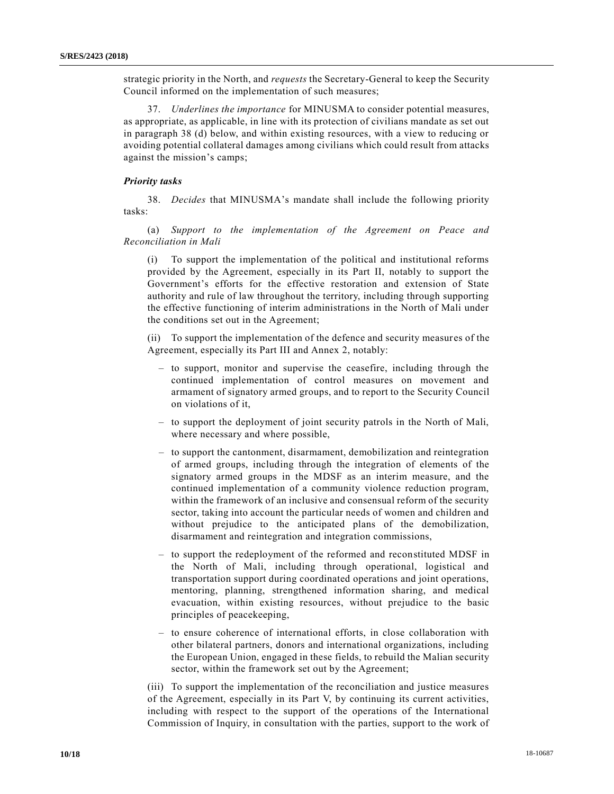strategic priority in the North, and *requests* the Secretary-General to keep the Security Council informed on the implementation of such measures;

37. *Underlines the importance* for MINUSMA to consider potential measures, as appropriate, as applicable, in line with its protection of civilians mandate as set out in paragraph 38 (d) below, and within existing resources, with a view to reducing or avoiding potential collateral damages among civilians which could result from attacks against the mission's camps;

## *Priority tasks*

38. *Decides* that MINUSMA's mandate shall include the following priority tasks:

(a) *Support to the implementation of the Agreement on Peace and Reconciliation in Mali*

(i) To support the implementation of the political and institutional reforms provided by the Agreement, especially in its Part II, notably to support the Government's efforts for the effective restoration and extension of State authority and rule of law throughout the territory, including through supporting the effective functioning of interim administrations in the North of Mali under the conditions set out in the Agreement;

(ii) To support the implementation of the defence and security measur es of the Agreement, especially its Part III and Annex 2, notably:

- to support, monitor and supervise the ceasefire, including through the continued implementation of control measures on movement and armament of signatory armed groups, and to report to the Security Council on violations of it,
- to support the deployment of joint security patrols in the North of Mali, where necessary and where possible,
- to support the cantonment, disarmament, demobilization and reintegration of armed groups, including through the integration of elements of the signatory armed groups in the MDSF as an interim measure, and the continued implementation of a community violence reduction program, within the framework of an inclusive and consensual reform of the security sector, taking into account the particular needs of women and children and without prejudice to the anticipated plans of the demobilization, disarmament and reintegration and integration commissions,
- to support the redeployment of the reformed and reconstituted MDSF in the North of Mali, including through operational, logistical and transportation support during coordinated operations and joint operations, mentoring, planning, strengthened information sharing, and medical evacuation, within existing resources, without prejudice to the basic principles of peacekeeping,
- to ensure coherence of international efforts, in close collaboration with other bilateral partners, donors and international organizations, including the European Union, engaged in these fields, to rebuild the Malian security sector, within the framework set out by the Agreement;

(iii) To support the implementation of the reconciliation and justice measures of the Agreement, especially in its Part V, by continuing its current activities, including with respect to the support of the operations of the International Commission of Inquiry, in consultation with the parties, support to the work of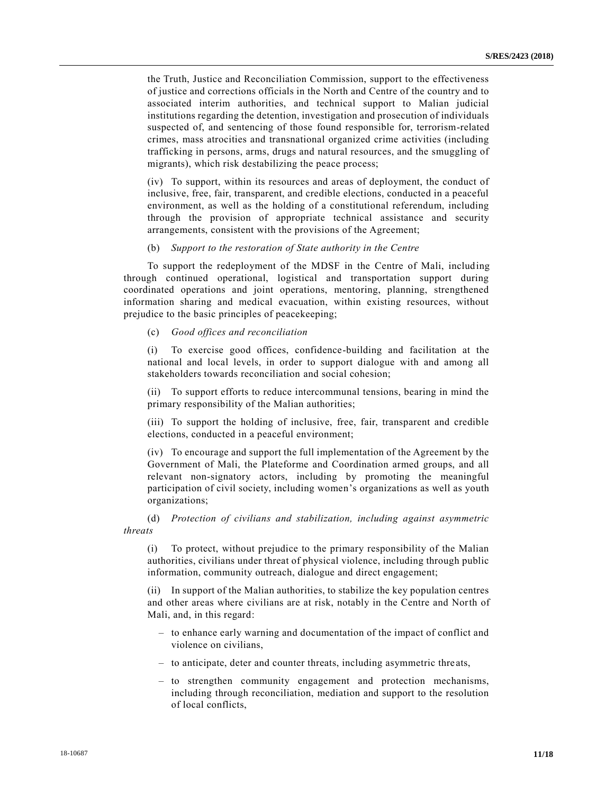the Truth, Justice and Reconciliation Commission, support to the effectiveness of justice and corrections officials in the North and Centre of the country and to associated interim authorities, and technical support to Malian judicial institutions regarding the detention, investigation and prosecution of individuals suspected of, and sentencing of those found responsible for, terrorism-related crimes, mass atrocities and transnational organized crime activities (including trafficking in persons, arms, drugs and natural resources, and the smuggling of migrants), which risk destabilizing the peace process;

(iv) To support, within its resources and areas of deployment, the conduct of inclusive, free, fair, transparent, and credible elections, conducted in a peaceful environment, as well as the holding of a constitutional referendum, including through the provision of appropriate technical assistance and security arrangements, consistent with the provisions of the Agreement;

(b) *Support to the restoration of State authority in the Centre*

To support the redeployment of the MDSF in the Centre of Mali, including through continued operational, logistical and transportation support during coordinated operations and joint operations, mentoring, planning, strengthened information sharing and medical evacuation, within existing resources, without prejudice to the basic principles of peacekeeping;

(c) *Good offices and reconciliation*

(i) To exercise good offices, confidence-building and facilitation at the national and local levels, in order to support dialogue with and among all stakeholders towards reconciliation and social cohesion;

(ii) To support efforts to reduce intercommunal tensions, bearing in mind the primary responsibility of the Malian authorities;

(iii) To support the holding of inclusive, free, fair, transparent and credible elections, conducted in a peaceful environment;

(iv) To encourage and support the full implementation of the Agreement by the Government of Mali, the Plateforme and Coordination armed groups, and all relevant non-signatory actors, including by promoting the meaningful participation of civil society, including women's organizations as well as youth organizations;

(d) *Protection of civilians and stabilization, including against asymmetric threats*

(i) To protect, without prejudice to the primary responsibility of the Malian authorities, civilians under threat of physical violence, including through public information, community outreach, dialogue and direct engagement;

(ii) In support of the Malian authorities, to stabilize the key population centres and other areas where civilians are at risk, notably in the Centre and North of Mali, and, in this regard:

- to enhance early warning and documentation of the impact of conflict and violence on civilians,
- to anticipate, deter and counter threats, including asymmetric thre ats,
- to strengthen community engagement and protection mechanisms, including through reconciliation, mediation and support to the resolution of local conflicts,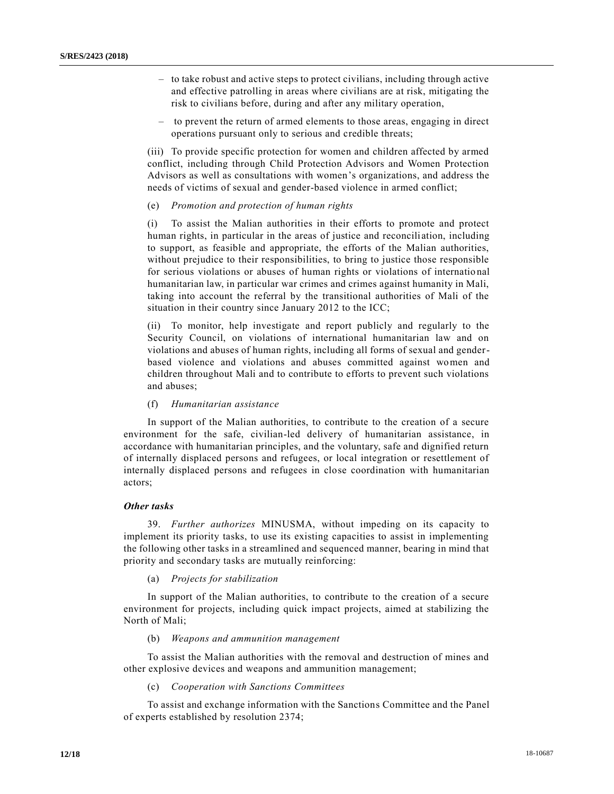- to take robust and active steps to protect civilians, including through active and effective patrolling in areas where civilians are at risk, mitigating the risk to civilians before, during and after any military operation,
- to prevent the return of armed elements to those areas, engaging in direct operations pursuant only to serious and credible threats;

(iii) To provide specific protection for women and children affected by armed conflict, including through Child Protection Advisors and Women Protection Advisors as well as consultations with women's organizations, and address the needs of victims of sexual and gender-based violence in armed conflict;

(e) *Promotion and protection of human rights*

(i) To assist the Malian authorities in their efforts to promote and protect human rights, in particular in the areas of justice and reconcili ation, including to support, as feasible and appropriate, the efforts of the Malian authorities, without prejudice to their responsibilities, to bring to justice those responsible for serious violations or abuses of human rights or violations of internatio nal humanitarian law, in particular war crimes and crimes against humanity in Mali, taking into account the referral by the transitional authorities of Mali of the situation in their country since January 2012 to the ICC;

(ii) To monitor, help investigate and report publicly and regularly to the Security Council, on violations of international humanitarian law and on violations and abuses of human rights, including all forms of sexual and genderbased violence and violations and abuses committed against women and children throughout Mali and to contribute to efforts to prevent such violations and abuses;

(f) *Humanitarian assistance*

In support of the Malian authorities, to contribute to the creation of a secure environment for the safe, civilian-led delivery of humanitarian assistance, in accordance with humanitarian principles, and the voluntary, safe and dignified return of internally displaced persons and refugees, or local integration or resettlement of internally displaced persons and refugees in close coordination with humanitarian actors;

## *Other tasks*

39. *Further authorizes* MINUSMA, without impeding on its capacity to implement its priority tasks, to use its existing capacities to assist in implementing the following other tasks in a streamlined and sequenced manner, bearing in mind that priority and secondary tasks are mutually reinforcing:

## (a) *Projects for stabilization*

In support of the Malian authorities, to contribute to the creation of a secure environment for projects, including quick impact projects, aimed at stabilizing the North of Mali;

#### (b) *Weapons and ammunition management*

To assist the Malian authorities with the removal and destruction of mines and other explosive devices and weapons and ammunition management;

#### (c) *Cooperation with Sanctions Committees*

To assist and exchange information with the Sanctions Committee and the Panel of experts established by resolution 2374;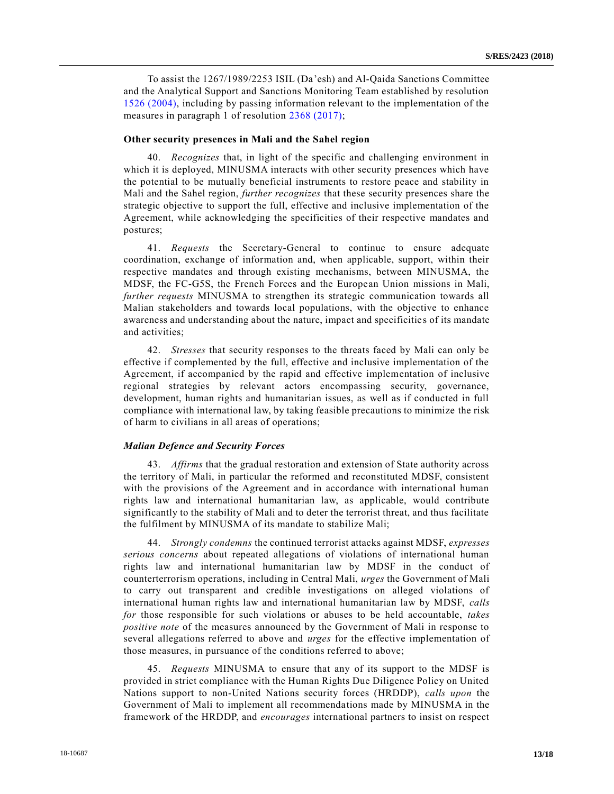To assist the 1267/1989/2253 ISIL (Da'esh) and Al-Qaida Sanctions Committee and the Analytical Support and Sanctions Monitoring Team established by resolution [1526 \(2004\),](https://undocs.org/S/RES/1526(2004)) including by passing information relevant to the implementation of the measures in paragraph 1 of resolution [2368 \(2017\);](https://undocs.org/S/RES/2368(2017))

#### **Other security presences in Mali and the Sahel region**

40. *Recognizes* that, in light of the specific and challenging environment in which it is deployed, MINUSMA interacts with other security presences which have the potential to be mutually beneficial instruments to restore peace and stability in Mali and the Sahel region, *further recognizes* that these security presences share the strategic objective to support the full, effective and inclusive implementation of the Agreement, while acknowledging the specificities of their respective mandates and postures;

41. *Requests* the Secretary-General to continue to ensure adequate coordination, exchange of information and, when applicable, support, within their respective mandates and through existing mechanisms, between MINUSMA, the MDSF, the FC-G5S, the French Forces and the European Union missions in Mali, *further requests* MINUSMA to strengthen its strategic communication towards all Malian stakeholders and towards local populations, with the objective to enhance awareness and understanding about the nature, impact and specificitie s of its mandate and activities;

42. *Stresses* that security responses to the threats faced by Mali can only be effective if complemented by the full, effective and inclusive implementation of the Agreement, if accompanied by the rapid and effective implementation of inclusive regional strategies by relevant actors encompassing security, governance, development, human rights and humanitarian issues, as well as if conducted in full compliance with international law, by taking feasible precautions to minimize the risk of harm to civilians in all areas of operations;

### *Malian Defence and Security Forces*

43. *Affirms* that the gradual restoration and extension of State authority across the territory of Mali, in particular the reformed and reconstituted MDSF, consistent with the provisions of the Agreement and in accordance with international human rights law and international humanitarian law, as applicable, would contribute significantly to the stability of Mali and to deter the terrorist threat, and thus facilitate the fulfilment by MINUSMA of its mandate to stabilize Mali;

44. *Strongly condemns* the continued terrorist attacks against MDSF, *expresses serious concerns* about repeated allegations of violations of international human rights law and international humanitarian law by MDSF in the conduct of counterterrorism operations, including in Central Mali, *urges* the Government of Mali to carry out transparent and credible investigations on alleged violations of international human rights law and international humanitarian law by MDSF, *calls for* those responsible for such violations or abuses to be held accountable, *takes positive note* of the measures announced by the Government of Mali in response to several allegations referred to above and *urges* for the effective implementation of those measures, in pursuance of the conditions referred to above;

45. *Requests* MINUSMA to ensure that any of its support to the MDSF is provided in strict compliance with the Human Rights Due Diligence Policy on United Nations support to non-United Nations security forces (HRDDP), *calls upon* the Government of Mali to implement all recommendations made by MINUSMA in the framework of the HRDDP, and *encourages* international partners to insist on respect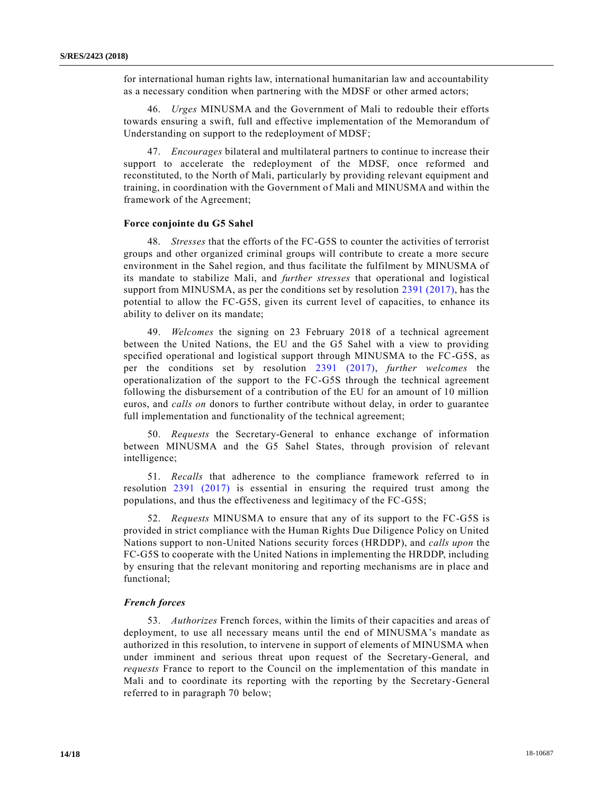for international human rights law, international humanitarian law and accountability as a necessary condition when partnering with the MDSF or other armed actors;

46. *Urges* MINUSMA and the Government of Mali to redouble their efforts towards ensuring a swift, full and effective implementation of the Memorandum of Understanding on support to the redeployment of MDSF;

47. *Encourages* bilateral and multilateral partners to continue to increase their support to accelerate the redeployment of the MDSF, once reformed and reconstituted, to the North of Mali, particularly by providing relevant equipment and training, in coordination with the Government of Mali and MINUSMA and within the framework of the Agreement;

### **Force conjointe du G5 Sahel**

48. *Stresses* that the efforts of the FC-G5S to counter the activities of terrorist groups and other organized criminal groups will contribute to create a more secure environment in the Sahel region, and thus facilitate the fulfilment by MINUSMA of its mandate to stabilize Mali, and *further stresses* that operational and logistical support from MINUSMA, as per the conditions set by resolution [2391 \(2017\),](https://undocs.org/S/RES/2391(2017)) has the potential to allow the FC-G5S, given its current level of capacities, to enhance its ability to deliver on its mandate;

49. *Welcomes* the signing on 23 February 2018 of a technical agreement between the United Nations, the EU and the G5 Sahel with a view to providing specified operational and logistical support through MINUSMA to the FC-G5S, as per the conditions set by resolution [2391 \(2017\),](https://undocs.org/S/RES/2391(2017)) *further welcomes* the operationalization of the support to the FC-G5S through the technical agreement following the disbursement of a contribution of the EU for an amount of 10 million euros, and *calls on* donors to further contribute without delay, in order to guarantee full implementation and functionality of the technical agreement;

50. *Requests* the Secretary-General to enhance exchange of information between MINUSMA and the G5 Sahel States, through provision of relevant intelligence;

51. *Recalls* that adherence to the compliance framework referred to in resolution [2391 \(2017\)](https://undocs.org/S/RES/2391(2017)) is essential in ensuring the required trust among the populations, and thus the effectiveness and legitimacy of the FC-G5S;

52. *Requests* MINUSMA to ensure that any of its support to the FC-G5S is provided in strict compliance with the Human Rights Due Diligence Policy on United Nations support to non-United Nations security forces (HRDDP), and *calls upon* the FC-G5S to cooperate with the United Nations in implementing the HRDDP, including by ensuring that the relevant monitoring and reporting mechanisms are in place and functional;

#### *French forces*

53. *Authorizes* French forces, within the limits of their capacities and areas of deployment, to use all necessary means until the end of MINUSMA's mandate as authorized in this resolution, to intervene in support of elements of MINUSMA when under imminent and serious threat upon request of the Secretary-General, and *requests* France to report to the Council on the implementation of this mandate in Mali and to coordinate its reporting with the reporting by the Secretary-General referred to in paragraph 70 below;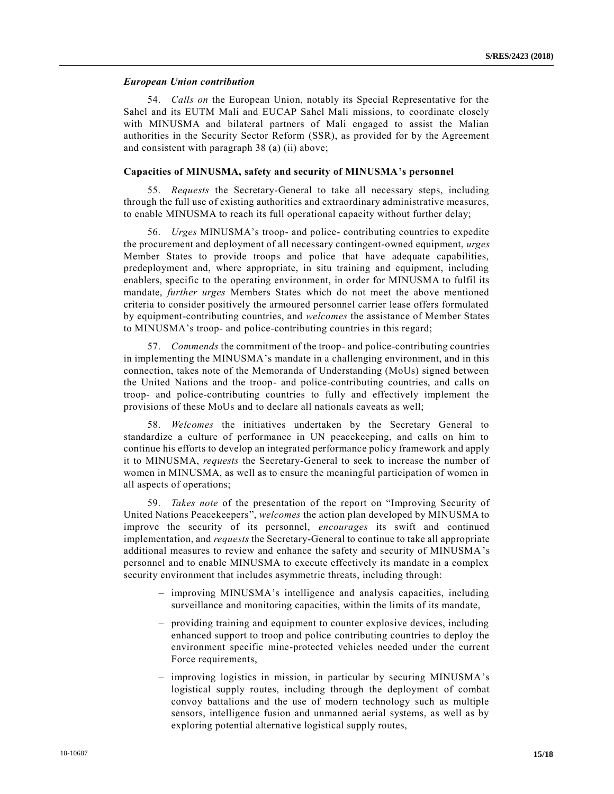### *European Union contribution*

54. *Calls on* the European Union, notably its Special Representative for the Sahel and its EUTM Mali and EUCAP Sahel Mali missions, to coordinate closely with MINUSMA and bilateral partners of Mali engaged to assist the Malian authorities in the Security Sector Reform (SSR), as provided for by the Agreement and consistent with paragraph 38 (a) (ii) above;

## **Capacities of MINUSMA, safety and security of MINUSMA's personnel**

55. *Requests* the Secretary-General to take all necessary steps, including through the full use of existing authorities and extraordinary administrative measures, to enable MINUSMA to reach its full operational capacity without further delay;

56. *Urges* MINUSMA's troop- and police- contributing countries to expedite the procurement and deployment of all necessary contingent-owned equipment, *urges* Member States to provide troops and police that have adequate capabilities, predeployment and, where appropriate, in situ training and equipment, including enablers, specific to the operating environment, in order for MINUSMA to fulfil its mandate, *further urges* Members States which do not meet the above mentioned criteria to consider positively the armoured personnel carrier lease offers formulated by equipment-contributing countries, and *welcomes* the assistance of Member States to MINUSMA's troop- and police-contributing countries in this regard;

57. *Commends* the commitment of the troop- and police-contributing countries in implementing the MINUSMA's mandate in a challenging environment, and in this connection, takes note of the Memoranda of Understanding (MoUs) signed between the United Nations and the troop- and police-contributing countries, and calls on troop- and police-contributing countries to fully and effectively implement the provisions of these MoUs and to declare all nationals caveats as well;

58. *Welcomes* the initiatives undertaken by the Secretary General to standardize a culture of performance in UN peacekeeping, and calls on him to continue his efforts to develop an integrated performance policy framework and apply it to MINUSMA, *requests* the Secretary-General to seek to increase the number of women in MINUSMA, as well as to ensure the meaningful participation of women in all aspects of operations;

59. *Takes note* of the presentation of the report on "Improving Security of United Nations Peacekeepers", *welcomes* the action plan developed by MINUSMA to improve the security of its personnel, *encourages* its swift and continued implementation, and *requests* the Secretary-General to continue to take all appropriate additional measures to review and enhance the safety and security of MINUSMA's personnel and to enable MINUSMA to execute effectively its mandate in a complex security environment that includes asymmetric threats, including through:

- improving MINUSMA's intelligence and analysis capacities, including surveillance and monitoring capacities, within the limits of its mandate,
- providing training and equipment to counter explosive devices, including enhanced support to troop and police contributing countries to deploy the environment specific mine-protected vehicles needed under the current Force requirements,
- improving logistics in mission, in particular by securing MINUSMA's logistical supply routes, including through the deployment of combat convoy battalions and the use of modern technology such as multiple sensors, intelligence fusion and unmanned aerial systems, as well as by exploring potential alternative logistical supply routes,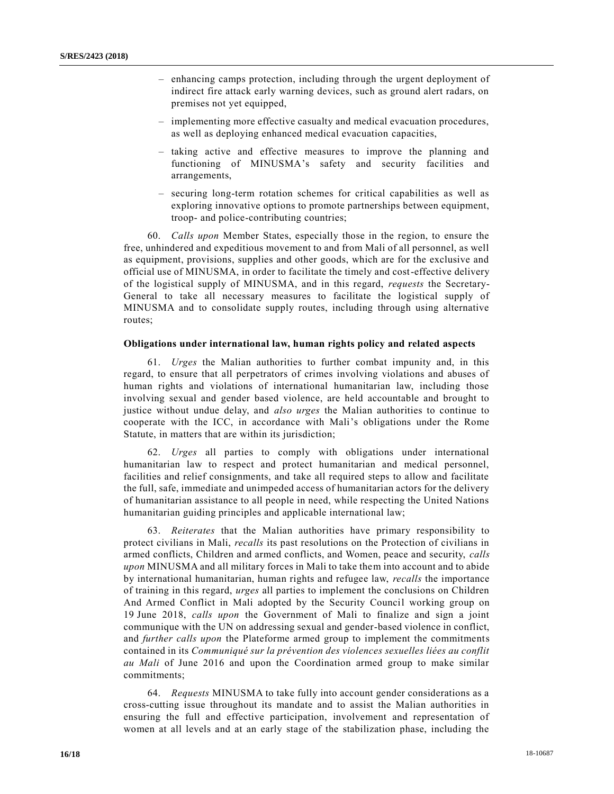- enhancing camps protection, including through the urgent deployment of indirect fire attack early warning devices, such as ground alert radars, on premises not yet equipped,
- implementing more effective casualty and medical evacuation procedures, as well as deploying enhanced medical evacuation capacities,
- taking active and effective measures to improve the planning and functioning of MINUSMA's safety and security facilities and arrangements,
- securing long-term rotation schemes for critical capabilities as well as exploring innovative options to promote partnerships between equipment, troop- and police-contributing countries;

60. *Calls upon* Member States, especially those in the region, to ensure the free, unhindered and expeditious movement to and from Mali of all personnel, as well as equipment, provisions, supplies and other goods, which are for the exclusive and official use of MINUSMA, in order to facilitate the timely and cost-effective delivery of the logistical supply of MINUSMA, and in this regard, *requests* the Secretary-General to take all necessary measures to facilitate the logistical supply of MINUSMA and to consolidate supply routes, including through using alternative routes;

## **Obligations under international law, human rights policy and related aspects**

61. *Urges* the Malian authorities to further combat impunity and, in this regard, to ensure that all perpetrators of crimes involving violations and abuses of human rights and violations of international humanitarian law, including those involving sexual and gender based violence, are held accountable and brought to justice without undue delay, and *also urges* the Malian authorities to continue to cooperate with the ICC, in accordance with Mali's obligations under the Rome Statute, in matters that are within its jurisdiction;

62. *Urges* all parties to comply with obligations under international humanitarian law to respect and protect humanitarian and medical personnel, facilities and relief consignments, and take all required steps to allow and facilitate the full, safe, immediate and unimpeded access of humanitarian actors for the delivery of humanitarian assistance to all people in need, while respecting the United Nations humanitarian guiding principles and applicable international law;

63. *Reiterates* that the Malian authorities have primary responsibility to protect civilians in Mali, *recalls* its past resolutions on the Protection of civilians in armed conflicts, Children and armed conflicts, and Women, peace and security, *calls upon* MINUSMA and all military forces in Mali to take them into account and to abide by international humanitarian, human rights and refugee law, *recalls* the importance of training in this regard, *urges* all parties to implement the conclusions on Children And Armed Conflict in Mali adopted by the Security Council working group on 19 June 2018, *calls upon* the Government of Mali to finalize and sign a joint communique with the UN on addressing sexual and gender-based violence in conflict, and *further calls upon* the Plateforme armed group to implement the commitments contained in its *Communiqué sur la prévention des violences sexuelles liées au conflit au Mali* of June 2016 and upon the Coordination armed group to make similar commitments;

64. *Requests* MINUSMA to take fully into account gender considerations as a cross-cutting issue throughout its mandate and to assist the Malian authorities in ensuring the full and effective participation, involvement and representation of women at all levels and at an early stage of the stabilization phase, including the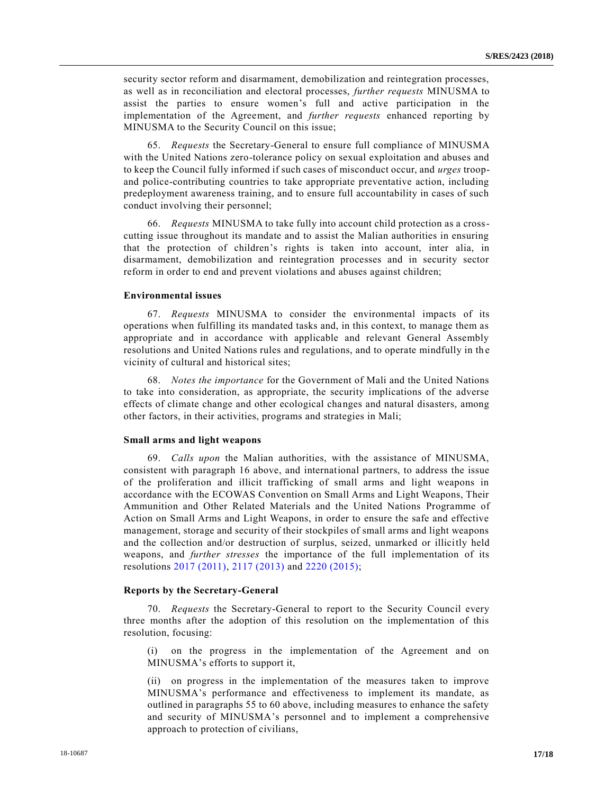security sector reform and disarmament, demobilization and reintegration processes, as well as in reconciliation and electoral processes, *further requests* MINUSMA to assist the parties to ensure women's full and active participation in the implementation of the Agreement, and *further requests* enhanced reporting by MINUSMA to the Security Council on this issue;

65. *Requests* the Secretary-General to ensure full compliance of MINUSMA with the United Nations zero-tolerance policy on sexual exploitation and abuses and to keep the Council fully informed if such cases of misconduct occur, and *urges* troopand police-contributing countries to take appropriate preventative action, including predeployment awareness training, and to ensure full accountability in cases of such conduct involving their personnel;

66. *Requests* MINUSMA to take fully into account child protection as a crosscutting issue throughout its mandate and to assist the Malian authorities in ensuring that the protection of children's rights is taken into account, inter alia, in disarmament, demobilization and reintegration processes and in security sector reform in order to end and prevent violations and abuses against children;

#### **Environmental issues**

67. *Requests* MINUSMA to consider the environmental impacts of its operations when fulfilling its mandated tasks and, in this context, to manage them as appropriate and in accordance with applicable and relevant General Assembly resolutions and United Nations rules and regulations, and to operate mindfully in the vicinity of cultural and historical sites;

68. *Notes the importance* for the Government of Mali and the United Nations to take into consideration, as appropriate, the security implications of the adverse effects of climate change and other ecological changes and natural disasters, among other factors, in their activities, programs and strategies in Mali;

#### **Small arms and light weapons**

69. *Calls upon* the Malian authorities, with the assistance of MINUSMA, consistent with paragraph 16 above, and international partners, to address the issue of the proliferation and illicit trafficking of small arms and light weapons in accordance with the ECOWAS Convention on Small Arms and Light Weapons, Their Ammunition and Other Related Materials and the United Nations Programme of Action on Small Arms and Light Weapons, in order to ensure the safe and effective management, storage and security of their stockpiles of small arms and light weapons and the collection and/or destruction of surplus, seized, unmarked or illicitly held weapons, and *further stresses* the importance of the full implementation of its resolutions [2017 \(2011\),](https://undocs.org/S/RES/2017(2011)) [2117 \(2013\)](https://undocs.org/S/RES/2117(2013)) and [2220 \(2015\);](https://undocs.org/S/RES/2220(2015))

#### **Reports by the Secretary-General**

70. *Requests* the Secretary-General to report to the Security Council every three months after the adoption of this resolution on the implementation of this resolution, focusing:

(i) on the progress in the implementation of the Agreement and on MINUSMA's efforts to support it,

(ii) on progress in the implementation of the measures taken to improve MINUSMA's performance and effectiveness to implement its mandate, as outlined in paragraphs 55 to 60 above, including measures to enhance the safety and security of MINUSMA's personnel and to implement a comprehensive approach to protection of civilians,